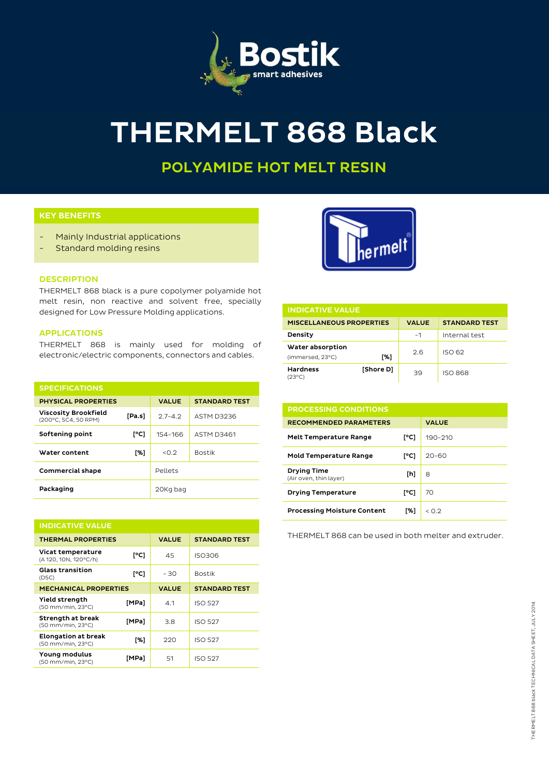

# THERMELT 868 Black

## POLYAMIDE HOT MELT RESIN

#### KEY BENEFITS

- Mainly Industrial applications
- Standard molding resins



### **DESCRIPTION**

THERMELT 868 black is a pure copolymer polyamide hot melt resin, non reactive and solvent free, specially designed for Low Pressure Molding applications.

#### APPLICATIONS

THERMELT 868 is mainly used for molding of electronic/electric components, connectors and cables.

| <b>SPECIFICATIONS</b>                               |        |              |                      |
|-----------------------------------------------------|--------|--------------|----------------------|
| <b>PHYSICAL PROPERTIES</b>                          |        | <b>VALUE</b> | <b>STANDARD TEST</b> |
| <b>Viscosity Brookfield</b><br>(200°C, SC4, 50 RPM) | [Pa.s] | $2.7 - 4.2$  | ASTM D3236           |
| Softening point                                     | [°C]   | 154-166      | <b>ASTM D3461</b>    |
| Water content                                       | [%]    | < 0.2        | <b>Bostik</b>        |
| <b>Commercial shape</b>                             |        | Pellets      |                      |
| Packaging                                           |        | 20Kg bag     |                      |

| <b>INDICATIVE VALUE</b>                         |       |              |                      |  |  |
|-------------------------------------------------|-------|--------------|----------------------|--|--|
| <b>THERMAL PROPERTIES</b>                       |       | <b>VALUE</b> | <b>STANDARD TEST</b> |  |  |
| Vicat temperature<br>(A 120, 10N, 120°C/h)      | [°C]  | 45           | ISO306               |  |  |
| <b>Glass transition</b><br>(DSC)                | [°C]  | - 30         | <b>Bostik</b>        |  |  |
| <b>MECHANICAL PROPERTIES</b>                    |       | <b>VALUE</b> | <b>STANDARD TEST</b> |  |  |
| Yield strength<br>(50 mm/min, 23°C)             | [MPa] | 4.1          | <b>ISO 527</b>       |  |  |
| Strength at break<br>(50 mm/min, 23°C)          | [MPa] | 3.8          | <b>ISO 527</b>       |  |  |
| <b>Elongation at break</b><br>(50 mm/min, 23°C) | [%]   | 220          | <b>ISO 527</b>       |  |  |
| Young modulus<br>(50 mm/min, 23°C)              | [MPa] | 51           | <b>ISO 527</b>       |  |  |

| <b>INDICATIVE VALUE</b>              |           |              |                      |  |  |
|--------------------------------------|-----------|--------------|----------------------|--|--|
| <b>MISCELLANEOUS PROPERTIES</b>      |           | <b>VALUE</b> | <b>STANDARD TEST</b> |  |  |
| Density                              |           | ~1           | Internal test        |  |  |
| Water absorption<br>(immersed, 23°C) | [%]       | 2.6          | ISO 62               |  |  |
| <b>Hardness</b><br>'23°C)            | [Shore D] | 39           | <b>ISO 868</b>       |  |  |

| <b>PROCESSING CONDITIONS</b>                 |      |              |  |  |
|----------------------------------------------|------|--------------|--|--|
| <b>RECOMMENDED PARAMETERS</b>                |      | <b>VALUE</b> |  |  |
| <b>Melt Temperature Range</b>                | [°C] | 190-210      |  |  |
| <b>Mold Temperature Range</b>                | [°C] | $20 - 60$    |  |  |
| <b>Drying Time</b><br>(Air oven, thin layer) | [h]  | 8            |  |  |
| <b>Drying Temperature</b>                    | [°C] | 70           |  |  |
| <b>Processing Moisture Content</b>           | [%]  | < ∩ 2        |  |  |

THERMELT 868 can be used in both melter and extruder.